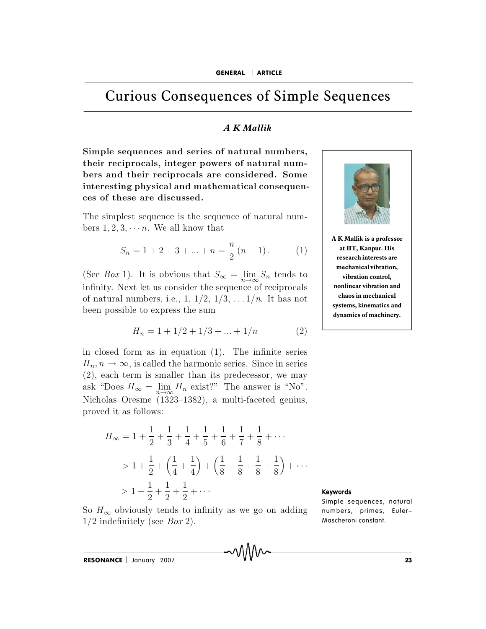# Curious Consequences of Simple Sequences **Curious Consequences of Simple Sonsequences**  $\overline{A K Mallik}$ <br>Simple sequences and series of natural numbers.

## *A K Mallik*

**Curious Consequences of Simple S**<br> **A K Mallik**<br>
Simple sequences and series of natural numbers,<br>
their reciprocals, integer powers of natural num**b extracts of simple sequences**<br>*b R K Mallik*<br>Simple sequences and series of natural numbers,<br>their reciprocals, integer powers of natural num-<br>bers and their reciprocals are considered. Some **in te r e stin g p h y sic a l a n d m a th e m a tic a l c o n se q u e n -** Simple sequences and series of natural numbers,<br>their reciprocals, integer powers of natural num-<br>bers and their reciprocals are considered. Some<br>interesting physical and mathematical consequen-<br>ces of these are discussed. Simple sequences and series of natural numbers,<br>their reciprocals, integer powers of natural num-<br>bers and their reciprocals are considered. Some<br>interesting physical and mathematical consequen-<br>ces of these are discussed. their reciprocals, integer powers of natural num-<br>bers and their reciprocals are considered. Some<br>interesting physical and mathematical consequen-<br>ces of these are discussed.<br>The simplest sequence is the sequence of natur interesting physical and mathematical consequen- $\begin{bmatrix} \text{inside real. Some} \ \text{ideal consequen-} \ \text{in } n \end{bmatrix}$ <br>  $(n + 1) \tag{1}$ 

The simplest sequence is the sequence of natural n<br>bers 1, 2, 3,  $\cdots$  *n*. We all know that<br> $S_n = 1 + 2 + 3 + \ldots + n = \frac{n}{2}(n + 1)$ .<br>(See *Box* 1). It is obvious that  $S_{\infty} = \lim_{n \to \infty} S_n$  tend atural num-<br>
1).  $(1)$ <br>  $S_n$  tends to The simplest sequence is the sequence of natural num-<br>bers 1, 2, 3,  $\cdots$  *n*. We all know that<br> $S_n = 1 + 2 + 3 + \ldots + n = \frac{n}{2}(n + 1)$ . (1)<br>(See *Box* 1). It is obvious that  $S_\infty = \lim_{n \to \infty} S_n$  tends to<br>infinity. Next let us con

$$
S_n = 1 + 2 + 3 + \dots + n = \frac{n}{2}(n+1).
$$
 (1)

bers 1, 2, 3,  $\cdots$  *n*. We all know that<br>  $S_n = 1 + 2 + 3 + \ldots + n = \frac{n}{2}(n + 1)$ . (1)<br>
(See *Box* 1). It is obvious that  $S_{\infty} = \lim_{n \to \infty} S_n$  tends to infinity. Next let us consider the sequence of reciprocals of natural numbe  $S_n = 1 + 2 + 3 + \ldots + n = \frac{n}{2}$ <br>(See *Box* 1). It is obvious that  $S_{\infty}$  = infinity. Next let us consider the seque of natural numbers, i.e., 1, 1/2, 1/3, . been possible to express the sum It is obvious that  $S_{\infty} = \lim_{n \to \infty} S_n$  tends to<br>
t let us consider the sequence of reciprocals<br>
umbers, i.e., 1, 1/2, 1/3, ...1/*n*. It has not<br>
e to express the sum<br>  $H_n = 1 + 1/2 + 1/3 + ... + 1/n$  (2) infinity. Next let us consider the sequence of reciprocals<br>of natural numbers, i.e., 1,  $1/2$ ,  $1/3$ , ...  $1/n$ . It has not<br>been possible to express the sum<br> $H_n = 1 + 1/2 + 1/3 + ... + 1/n$  (2)<br>in closed form as in equation (1). Th Hillingty. Next let us consider the sequence of reciprocals<br>of natural numbers, i.e., 1,  $1/2$ ,  $1/3$ , ... $1/n$ . It has not<br>been possible to express the sum<br> $H_n = 1 + 1/2 + 1/3 + ... + 1/n$  (2)<br>in closed form as in equation (1). Th

$$
H_n = 1 + 1/2 + 1/3 + \dots + 1/n \tag{2}
$$

been possible to express the sum<br>  $H_n = 1 + 1/2 + 1/3 + ... + 1/n$  (2)<br>
in closed form as in equation (1). The infinite series<br>  $H_n, n \to \infty$ , is called the harmonic series. Since in series<br>
(2), each term is smaller than its predec been possible to express the st<br>  $H_n = 1 + 1/2 + 1$ ,<br>
in closed form as in equation<br>  $H_n, n \to \infty$ , is called the harm<br>
(2), each term is smaller than<br>
ask "Does  $H_{\infty} = \lim_{n \to \infty} H_n$  exis  $\frac{1}{2} + \frac{1}{3} + \ldots + \frac{1}{n}$  (2)<br>
quation (1). The infinite series<br>
ne harmonic series. Since in series<br>
ler than its predecessor, we may<br>  $H_n$  exist?" The answer is "No".  $H_n = 1 + 1/2 + 1/3 + \ldots + 1/n$  (2)<br>in closed form as in equation (1). The infinite series<br> $H_n, n \to \infty$ , is called the harmonic series. Since in series<br>(2), each term is smaller than its predecessor, we may<br>ask "Does  $H_{\infty} = \lim_{$ in closed form as in equa<br>  $H_n, n \to \infty$ , is called the has<br>
(2), each term is smaller t<br>
ask "Does  $H_{\infty} = \lim_{n \to \infty} H_n$ <br>
Nicholas Oresme (1323–13<br>
proved it as follows:  $\rightarrow \infty$ , is called<br>ach term is sma<br>Does  $H_{\infty} = \lim_{n \to \infty}$ <br>las Oresme (13<br>d it as follows:<br> $H_{\infty} = 1 + \frac{1}{2} + \frac{1}{2}$ Nicholas Oresme (1323–1382), a multi-faceted genius, proved it as follows:

$$
H_{\infty} = 1 + \frac{1}{2} + \frac{1}{3} + \frac{1}{4} + \frac{1}{5} + \frac{1}{6} + \frac{1}{7} + \frac{1}{8} + \cdots
$$
  
\n
$$
> 1 + \frac{1}{2} + \left(\frac{1}{4} + \frac{1}{4}\right) + \left(\frac{1}{8} + \frac{1}{8} + \frac{1}{8} + \frac{1}{8}\right) + \cdots
$$
  
\n
$$
> 1 + \frac{1}{2} + \frac{1}{2} + \frac{1}{2} + \cdots
$$
  
\nSo  $H_{\infty}$  obviously tends to infinity as we go on adding



**A K Mallik is a professor at IIT, Kanpur. His research interests are mechanical vibration, vibration control, nonlinear vibration and chaos in mechanical systems, kinematics and dynamics of machinery.**

## Keywords

So  $H_{\infty}$  obviously tends to infinity as we go on adding  $1/2$  indefinitely (see *Box* 2).

**Keywords**<br>**Simple sequences, natural Keywords**<br>Simple sequences, natural<br>numbers, primes, Euler-Mascheroni constant.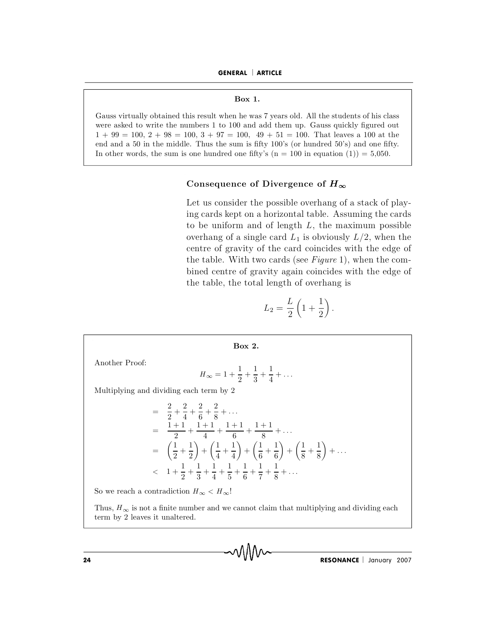GENERAL | ARTICLE **PRAL** | **ARTICLE**<br> **Box 1.** 

GENERAL | ARTICLE<br>Box 1.<br>Gauss virtually obtained this result when he was 7 years old. All the students of his class **GENERAL | ARTICLE<br>Box 1.**<br>Gauss virtually obtained this result when he was 7 years old. All the students of his class<br>were asked to write the numbers 1 to 100 and add them up. Gauss quickly figured out **1 1 1 Box 1. Box 1. Causs virtually obtained this result when he was 7 years old. All the students of his class were asked to write the numbers 1 to 100 and add them up. Gauss quickly figured out**  $1 + 99 = 100$ **. EXECUTE: Box 1.**<br> **EXECUTE: EXECUTE: EXECUTE: EXECUTE: EXECUTE: EXECUTE: EXECUTE: EXECUTE: EXECUTE: EXECUTE: EXECUTE: EXECUTE: EXECUTE: EXECUTE: EXECUTE: EXECUTE: EXECUTE: EXECUTE: E Box 1.**<br>
Gauss virtually obtained this result when he was 7 years old. All the students of his class<br>
were asked to write the numbers 1 to 100 and add them up. Gauss quickly figured out<br>  $1 + 99 = 100, 2 + 98 = 100, 3 + 97 = 1$ his result when he was 7 years old. All the students of his class<br>umbers 1 to 100 and add them up. Gauss quickly figured out<br> $0.00, 3 + 97 = 100, 49 + 51 = 100$ . That leaves a 100 at the<br>e. Thus the sum is fifty 100's (or hun Let us consider the possible overhang of a stack of play-<br>Let us consider the possible overhang of a stack of play-<br>Let us consider the possible overhang of a stack of playin get a real set the sum is fifty 100's (or hundred 50's) and one fifty.<br>
one hundred one fifty's (n = 100 in equation (1)) = 5,050.<br> **Consequence of Divergence of**  $H_{\infty}$ <br>
Let us consider the possible overhang of a st

one hundred one fifty's (n = 100 in equation (1)) = 5,050.<br> **Consequence of Divergence of**  $H_{\infty}$ <br>
Let us consider the possible overhang of a stack of play-<br>
ing cards kept on a horizontal table. Assuming the cards<br>
to **Consequence of Divergence of**  $H_{\infty}$ <br>Let us consider the possible overhang of a stack of play-<br>ing cards kept on a horizontal table. Assuming the cards<br>to be uniform and of length L, the maximum possible<br>overhang of a **Consequence of Divergence of**  $H_{\infty}$ <br>Let us consider the possible overhang of a stack of play-<br>ing cards kept on a horizontal table. Assuming the cards<br>to be uniform and of length L, the maximum possible<br>overhang of a Let us consider the possible overhang of a stack of play-<br>ing cards kept on a horizontal table. Assuming the cards<br>to be uniform and of length L, the maximum possible<br>overhang of a single card  $L_1$  is obviously  $L/2$ , wh Let us consider the possible overhang of a stack of play-<br>ing cards kept on a horizontal table. Assuming the cards<br>to be uniform and of length  $L$ , the maximum possible<br>overhang of a single card  $L_1$  is obviously  $L/2$ , ing cards kept on a horizontal table. Assuming t<br>to be uniform and of length  $L$ , the maximum<br>overhang of a single card  $L_1$  is obviously  $L/2$ , v<br>centre of gravity of the card coincides with the<br>the table. With two card is obviou<br>coincide<br>ee *Figure*<br>coincide<br>coverhang<br> $1 + \frac{1}{2}$ 

$$
L_2 = \frac{L}{2}\left(1 + \frac{1}{2}\right).
$$

the table, the total length of over  
\n
$$
L_2 = \frac{L}{2} \left( 1 + \frac{1}{2} \right)
$$
\nBox 2.  
\nAnother Proof:  
\n
$$
H_{\infty} = 1 + \frac{1}{2} + \frac{1}{3} + \frac{1}{4} + \dots
$$
\nMultiplying and dividing each term by 2  
\n
$$
= \frac{2}{2} + \frac{2}{4} + \frac{2}{6} + \frac{2}{8} + \dots
$$
\n
$$
= \frac{1+1}{2} + \frac{1+1}{4} + \frac{1+1}{6} + \frac{1+1}{8} + \dots
$$

Multiplying and dividing each term by 2  
\n
$$
= \frac{2}{2} + \frac{2}{4} + \frac{2}{6} + \frac{2}{8} + \dots
$$
\n
$$
= \frac{1+1}{2} + \frac{1+1}{4} + \frac{1+1}{6} + \frac{1+1}{8} + \dots
$$
\n
$$
= \left(\frac{1}{2} + \frac{1}{2}\right) + \left(\frac{1}{4} + \frac{1}{4}\right) + \left(\frac{1}{6} + \frac{1}{6}\right) + \left(\frac{1}{8} + \frac{1}{8}\right) + \dots
$$
\n
$$
< 1 + \frac{1}{2} + \frac{1}{3} + \frac{1}{4} + \frac{1}{5} + \frac{1}{6} + \frac{1}{7} + \frac{1}{8} + \dots
$$
\nSo we reach a contradiction  $H_{\infty} < H_{\infty}$ !  
\nThus,  $H_{\infty}$  is not a finite number and we cannot claim that multiplying and dividing each

So we reach a contradiction  $H_{\infty} < H_{\infty}$ !

 $\left\{\n \begin{array}{c}\n 2 \quad 2 \end{array}\n\right\}$ <br>  $\leq 1 + \frac{1}{2} + \frac{1}{3}$ <br>
So we reach a contradiction  $H_{\infty}$ <br>
Thus,  $H_{\infty}$  is not a finite number<br>
term by 2 leaves it unaltered.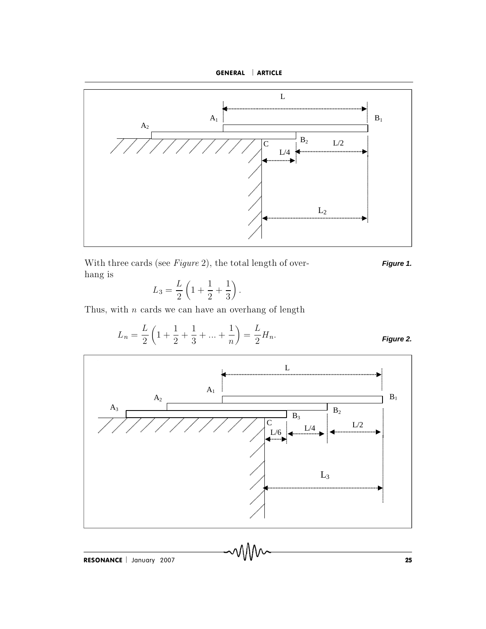



 $\left(\frac{1}{3}\right)$ . With three cards (see *Figure 2*), the total length of over-<br>hang is<br> $L_3 = \frac{L}{2} \left( 1 + \frac{1}{2} + \frac{1}{3} \right)$ .<br>Thus, with *n* cards we can have an overhang of length

$$
L_3 = \frac{L}{2} \left( 1 + \frac{1}{2} + \frac{1}{3} \right).
$$

Thus, with  $n$  cards we can have an overhang of length

$$
L_n = \frac{L}{2} \left( 1 + \frac{1}{2} + \frac{1}{3} + \dots + \frac{1}{n} \right) = \frac{L}{2} H_n.
$$
 *Figure 2.*



**Figure 1.**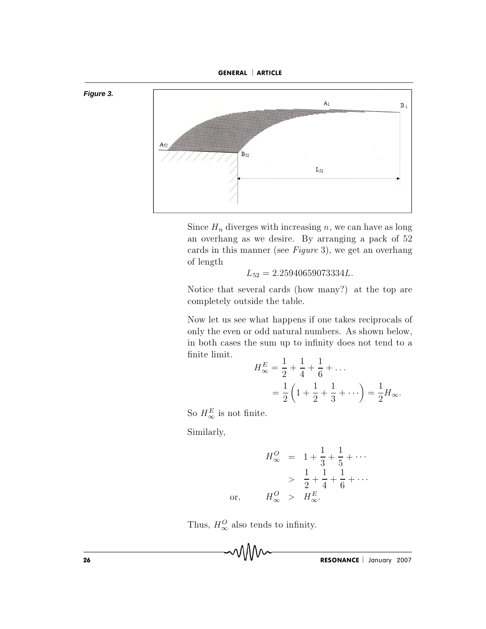



Since  $H_n$  diverges with increasing n, we can have as long an overhang as we desire. By arranging a pack of 52 cards in this manner (see Figure 3), we get an overhang of length

$$
L_{52} = 2.25940659073334L.
$$

Notice that several cards (how many?) at the top are completely outside the table.

Now let us see what happens if one takes reciprocals of only the even or odd natural numbers. As shown below, in both cases the sum up to infinity does not tend to a finite limit.

$$
H_{\infty}^{E} = \frac{1}{2} + \frac{1}{4} + \frac{1}{6} + \dots
$$
  
=  $\frac{1}{2} \left( 1 + \frac{1}{2} + \frac{1}{3} + \dots \right) = \frac{1}{2} H_{\infty}.$ 

So  $H^E_{\infty}$  is not finite.

Similarly,

$$
H_{\infty}^{O} = 1 + \frac{1}{3} + \frac{1}{5} + \cdots
$$
  
>  $\frac{1}{2} + \frac{1}{4} + \frac{1}{6} + \cdots$   
 $H_{\infty}^{O} > H_{\infty}^{E}$ .

Thus,  $H^O_{\infty}$  also tends to infinity.

mM

or,

RESONANCE | January 2007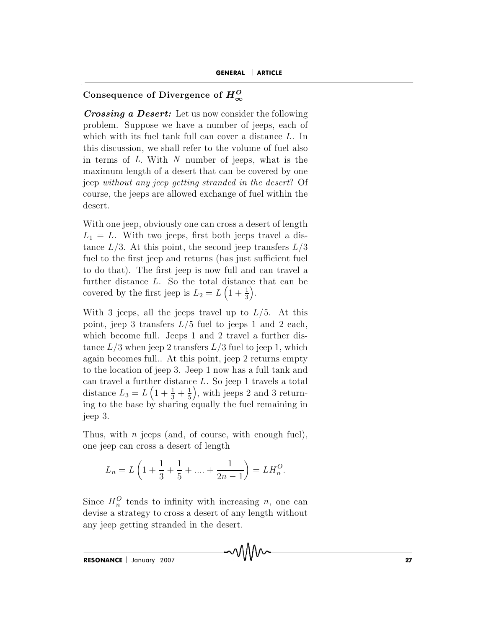# **CONSEQUENCE CONSEQUENCE CONSEQUENCE CONSEQUENCE Of Divergence of**  $H_{\infty}^{O}$

**CONSEQUENCE CONSEQUENCE CONSEQUENCE CONSEQUENCE Of Divergence of**  $H^O_\infty$ **<br>***Crossing a Desert:* **Let us now consider the following** p ro b lem . S u p p o se w e h av e a n u m b er o f jeep s, ea ch o f **GENERAL** | **ARTICLE**<br> **Consequence of Divergence of**  $H_{\infty}^{O}$ <br> **Crossing a Desert:** Let us now consider the following<br>
problem. Suppose we have a number of jeeps, each of<br>
which with its fuel tank full can cover a dis Consequence of Divergence of  $H_{\infty}^{O}$ <br>Crossing a Desert: Let us now consider the following<br>problem. Suppose we have a number of jeeps, each of<br>which with its fuel tank full can cover a distance L. In<br>this discussion, w **Consequence of Divergence of**  $H_{\infty}^{O}$ <br>**Crossing a Desert:** Let us now consider the following<br>problem. Suppose we have a number of jeeps, each of<br>which with its fuel tank full can cover a distance L. In<br>this discussio **Crossing a Desert:** Let us now consider the following<br>problem. Suppose we have a number of jeeps, each of<br>which with its fuel tank full can cover a distance L. In<br>this discussion, we shall refer to the volume of fuel als **Crossing a Desert:** Let us now consider the following problem. Suppose we have a number of jeeps, each of which with its fuel tank full can cover a distance  $L$ . In this discussion, we shall refer to the volume of fuel a problem. Suppose we have a number of jeeps, each of<br>which with its fuel tank full can cover a distance  $L$ . In<br>this discussion, we shall refer to the volume of fuel also<br>in terms of  $L$ . With  $N$  number of jeeps, what is which with its fuel tank full can cover a distance  $L$ . In this discussion, we shall refer to the volume of fuel also in terms of  $L$ . With  $N$  number of jeeps, what is the maximum length of a desert that can be covered b this discussion, we shall refer to the volume of fluer also<br>in terms of  $L$ . With  $N$  number of jeeps, what is the<br>maximum length of a desert that can be covered by one<br>jeep *without any jeep getting stranded in the deser* In terms of L. With N humber of jeeps, what is the<br>maximum length of a desert that can be covered by one<br>jeep *without any jeep getting stranded in the desert*? Of<br>course, the jeeps are allowed exchange of fuel within the maximum length or a desert that can be covered by one<br>jeep without any jeep getting stranded in the desert? Of<br>course, the jeeps are allowed exchange of fuel within the<br>desert.<br>With one jeep, obviously one can cross a des

full peep without any jeep getting stranaed in the aesert! Of<br>course, the jeeps are allowed exchange of fuel within the<br>desert.<br>With one jeep, obviously one can cross a desert of length<br> $L_1 = L$ . With two jeeps, first both to during the geeps are anowed exchange of fuer within the desert.<br>With one jeep, obviously one can cross a desert of length  $L_1 = L$ . With two jeeps, first both jeeps travel a distance  $L/3$ . At this point, the second jee With one jeep, obviously one can cross a desert of length  $L_1 = L$ . With two jeeps, first both jeeps travel a distance  $L/3$ . At this point, the second jeep transfers  $L/3$  fuel to the first jeep and returns (has just suff With one jeep, obviously one can cross a desert o  $L_1 = L$ . With two jeeps, first both jeeps trave tance  $L/3$ . At this point, the second jeep transf fuel to the first jeep and returns (has just sufficite do that). The fir further distance L. So the total distance that can be covered by the first jeep is  $L_2 = L\left(1 + \frac{1}{3}\right)$ . .  $L_1 = L$ . Whit two jeeps, inst both jeeps traver a dis-<br>tance  $L/3$ . At this point, the second jeep transfers  $L/3$ <br>fuel to the first jeep and returns (has just sufficient fuel<br>to do that). The first jeep is now full and c fuel to the first jeep and returns (has just sufficient fuel<br>to do that). The first jeep is now full and can travel a<br>further distance L. So the total distance that can be<br>covered by the first jeep is  $L_2 = L\left(1 + \frac{1}{3}\right)$ fuel to the first jeep and returns (has just sufficient fuel<br>to do that). The first jeep is now full and can travel a<br>further distance L. So the total distance that can be<br>covered by the first jeep is  $L_2 = L\left(1 + \frac{1}{3}\right)$ 

to do that). The first jeep is now fun and can travel a<br>further distance L. So the total distance that can be<br>covered by the first jeep is  $L_2 = L\left(1 + \frac{1}{3}\right)$ .<br>With 3 jeeps, all the jeeps travel up to  $L/5$ . At this<br>poi ratter distance *L*. So the total distance that can be<br>covered by the first jeep is  $L_2 = L\left(1 + \frac{1}{3}\right)$ .<br>With 3 jeeps, all the jeeps travel up to  $L/5$ . At this<br>point, jeep 3 transfers  $L/5$  fuel to jeeps 1 and 2 each,<br> With 3 jeeps, all the jeeps travel up to  $L/5$ . At this<br>point, jeep 3 transfers  $L/5$  fuel to jeeps 1 and 2 each,<br>which become full. Jeeps 1 and 2 travel a further dis-<br>tance  $L/3$  when jeep 2 transfers  $L/3$  fuel to jeep With 3 jeeps, all the jeeps travel up to  $L/5$ . At this<br>point, jeep 3 transfers  $L/5$  fuel to jeeps 1 and 2 each,<br>which become full. Jeeps 1 and 2 travel a further dis-<br>tance  $L/3$  when jeep 2 transfers  $L/3$  fuel to jeep point, jeep 3 transfers  $L/5$  fue<br>which become full. Jeeps 1 and<br>tance  $L/3$  when jeep 2 transfers<br>again becomes full.. At this point<br>to the location of jeep 3. Jeep 1<br>can travel a further distance  $L$ .<br>distance  $L_3 = L\left($ tance  $L/3$  when jeep 2 transfers  $L/3$  fuel to jeep 1, which<br>again becomes full.. At this point, jeep 2 returns empty<br>to the location of jeep 3. Jeep 1 now has a full tank and<br>can travel a further distance L. So jeep 1 t ce *L*. So jeep  $\frac{1}{5}$ ), with jeeps fuel to jeeps 1 and 2 each,<br>and 2 travel a further dis-<br>ers  $L/3$  fuel to jeep 1, which<br>point, jeep 2 returns empty<br>ep 1 now has a full tank and<br> $L$ . So jeep 1 travels a total<br>, with ieeps 2 and 3 returnwhich become full. Jeeps 1 and 2 travel a further dis-<br>tance  $L/3$  when jeep 2 transfers  $L/3$  fuel to jeep 1, which<br>again becomes full.. At this point, jeep 2 returns empty<br>to the location of jeep 3. Jeep 1 now has a ful tance  $L/3$  wh<br>again become<br>to the locatio<br>can travel a f<br>distance  $L_3 =$ <br>ing to the bas<br>ieen 3. again becomes run.. At this point, jeep 2 returns empty<br>to the location of jeep 3. Jeep 1 now has a full tank and<br>can travel a further distance L. So jeep 1 travels a total<br>distance  $L_3 = L\left(1 + \frac{1}{3} + \frac{1}{5}\right)$ , with jee to the location of jeep 3. Jeep 1 now has a<br>can travel a further distance L. So jeep 1 t<br>distance  $L_3 = L\left(1 + \frac{1}{3} + \frac{1}{5}\right)$ , with jeeps 2 is<br>ing to the base by sharing equally the fuel<br>jeep 3.<br>Thus, with *n* jeeps (an  $L(1 + \frac{1}{3} + \frac{1}{5})$ , with jeeps 2 and 3 feture<br>by sharing equally the fuel remaining<br>jeeps (and, of course, with enough fue<br>coss a desert of length<br> $1 + \frac{1}{2} + \frac{1}{2} + \dots + \frac{1}{2} = L H_2^O$ .

Thus, with *n* jeeps (and, of course, with enough fuel),<br>one jeep can cross a desert of length<br> $L_n = L\left(1 + \frac{1}{3} + \frac{1}{5} + \dots + \frac{1}{2n-1}\right) = LH_n^O.$ <br>Since  $H_n^O$  tends to infinity with increasing *n*, one can

$$
L_n = L\left(1 + \frac{1}{3} + \frac{1}{5} + \dots + \frac{1}{2n-1}\right) = LH_n^O.
$$

d eventually the strategy candidates the cross a desert of length  $L_n = L\left(1 + \frac{1}{3} + \frac{1}{5} + \dots + \frac{1}{2n-1}\right) = LH_n^O$ .<br>Since  $H_n^O$  tends to infinity with increasing *n*, one can devise a strategy to cross a desert of any len  $L_n = L\left(1 + \frac{1}{3} + \frac{1}{5} + \dots + \frac{1}{2n-1}\right)$ <br>Since  $H_n^O$  tends to infinity with increase devise a strategy to cross a desert of any any ieep getting stranded in the desert.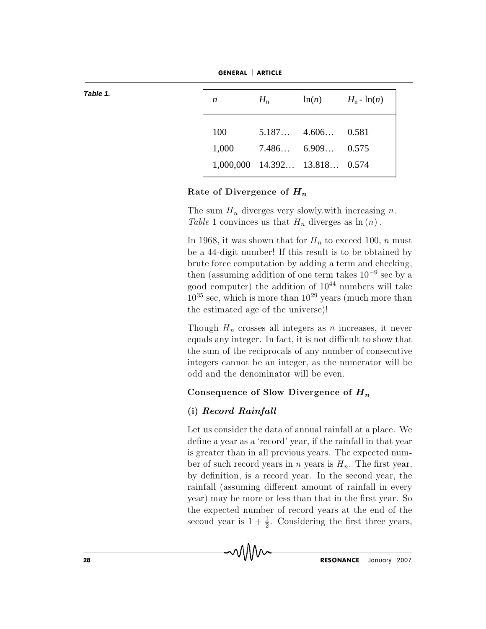$H_{\rm n}$  $H_n$  -  $\ln(n)$  $ln(n)$  $\boldsymbol{n}$ 100  $5.187...$  $4.606...$ 0.581  $7.486...$  $6.909...$ 1,000 0.575 1,000,000  $14.392...$  $13.818...$ 0.574

GENERAL | ARTICLE

Rate of Divergence of  $H_n$ 

The sum  $H_n$  diverges very slowly with increasing n. Table 1 convinces us that  $H_n$  diverges as  $\ln(n)$ .

In 1968, it was shown that for  $H_n$  to exceed 100, n must be a 44-digit number! If this result is to be obtained by brute force computation by adding a term and checking, then (assuming addition of one term takes  $10^{-9}$  sec by a good computer) the addition of  $10^{44}$  numbers will take  $10^{35}$  sec, which is more than  $10^{29}$  years (much more than the estimated age of the universe)!

Though  $H_n$  crosses all integers as *n* increases, it never equals any integer. In fact, it is not difficult to show that the sum of the reciprocals of any number of consecutive integers cannot be an integer, as the numerator will be odd and the denominator will be even.

# Consequence of Slow Divergence of  $H_n$

# (i) Record Rainfall

MM

Let us consider the data of annual rainfall at a place. We define a year as a 'record' year, if the rainfall in that year is greater than in all previous years. The expected number of such record years in *n* years is  $H_n$ . The first year, by definition, is a record year. In the second year, the rainfall (assuming different amount of rainfall in every year) may be more or less than that in the first year. So the expected number of record years at the end of the second year is  $1 + \frac{1}{2}$ . Considering the first three years,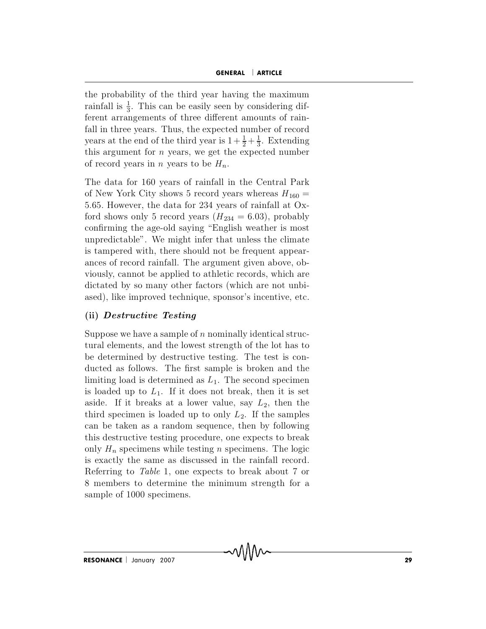GENERAL | ARTICLE<br>the probability of the third year having the maximum the probability of the third year having the maximum **GENERAL** | **ARTICLE**<br>
pility of the third year having the maximum<br>  $\frac{1}{3}$ . This can be easily seen by considering dif-**GENERAL** | **ARTICLE**<br>the probability of the third year having the maximum<br>rainfall is  $\frac{1}{3}$ . This can be easily seen by considering dif-<br>ferent arrangements of three different amounts of rain-**GENERAL** | **ARTICLE**<br>the probability of the third year having the maximum<br>rainfall is  $\frac{1}{3}$ . This can be easily seen by considering dif-<br>ferent arrangements of three different amounts of rain-<br>fall in three years. Th **GENERAL** | **AT**<br>the probability of the third year having the<br>rainfall is  $\frac{1}{3}$ . This can be easily seen by cons<br>ferent arrangements of three different amou<br>fall in three years. Thus, the expected numb<br>vears at the en  $\frac{1}{2} + \frac{1}{3}$ . Ex **ARTICLE**<br>
he maximum<br>
msidering dif-<br>
bunts of rain-<br>
ber of record<br>  $\frac{1}{3}$ . Extending the probability of the third year having the maximum<br>rainfall is  $\frac{1}{3}$ . This can be easily seen by considering dif-<br>ferent arrangements of three different amounts of rain-<br>fall in three years. Thus, the expected numbe the probability of the third year having t<br>rainfall is  $\frac{1}{3}$ . This can be easily seen by co.<br>ferent arrangements of three different ame<br>fall in three years. Thus, the expected num<br>years at the end of the third year is Fannan is  $\frac{1}{3}$ . This can be easily seen by considering different arrangements of three different amounts of rainfall in three years. Thus, the expected number of record years at the end of the third year is  $1 + \frac{1}{2$ From arrangements of three different amounts of rain-<br>fall in three years. Thus, the expected number of record<br>years at the end of the third year is  $1 + \frac{1}{2} + \frac{1}{3}$ . Extending<br>this argument for *n* years, we get the e Frame II all in three years. Thus, the expected number of record<br>years at the end of the third year is  $1 + \frac{1}{2} + \frac{1}{3}$ . Extending<br>this argument for *n* years, we get the expected number<br>of record years in *n* years to

years at the end of the third year is  $1 + \frac{1}{2} + \frac{1}{3}$ . Extending<br>this argument for *n* years, we get the expected number<br>of record years in *n* years to be  $H_n$ .<br>The data for 160 years of rainfall in the Central Park<br> correctly that the same of record years in *n* years, we get the expected number<br>of record years in *n* years to be  $H_n$ .<br>The data for 160 years of rainfall in the Central Park<br>of New York City shows 5 record years wherea The data for 160 years of rainfall in the Central Park<br>of New York City shows 5 record years whereas  $H_{160} =$ <br>5.65. However, the data for 234 years of rainfall at Ox-<br>ford shows only 5 record years  $(H_{234} = 6.03)$ , proba The data for 160 years of rainfall in the Central Park<br>of New York City shows 5 record years whereas  $H_{160} =$ <br>5.65. However, the data for 234 years of rainfall at Ox-<br>ford shows only 5 record years  $(H_{234} = 6.03)$ , proba of New York City shows 5 record years whereas  $H_{160} = 5.65$ . However, the data for 234 years of rainfall at Oxford shows only 5 record years  $(H_{234} = 6.03)$ , probably confirming the age-old saying "English weather is mos 5.65. However, the data for 234 years of rainfall at Ox-<br>ford shows only 5 record years  $(H_{234} = 6.03)$ , probably<br>confirming the age-old saying "English weather is most<br>unpredictable". We might infer that unless the clima ford shows only 5 record years ( $H_{234} = 6.03$ ), probably<br>confirming the age-old saying "English weather is most<br>unpredictable". We might infer that unless the climate<br>is tampered with, there should not be frequent appear confirming the age-old saying "English weather is most<br>unpredictable". We might infer that unless the climate<br>is tampered with, there should not be frequent appear-<br>ances of record rainfall. The argument given above, ob-<br>v unpredictable . We might infer tr<br>is tampered with, there should no<br>ances of record rainfall. The argur<br>viously, cannot be applied to athle<br>dictated by so many other factors<br>ased), like improved technique, sp<br>(ii) *Destruc* ances of record rainfall. The argument given above, obviously, cannot be applied to athletic records, which are dictated by so many other factors (which are not unbiased), like improved technique, sponsor's incentive, etc. viously, cannot be applied to athletic records, which are<br>dictated by so many other factors (which are not unbi-<br>ased), like improved technique, sponsor's incentive, etc.<br>(ii) *Destructive Testing*<br>Suppose we have a sample

dictated by so many other factors (which are not unbi-<br>ased), like improved technique, sponsor's incentive, etc.<br>(ii) *Destructive Testing*<br>Suppose we have a sample of *n* nominally identical struc-<br>tural elements, and the ased), like improved technique, sponsor's incentive, etc.<br>
(ii) **Destructive Testing**<br>
Suppose we have a sample of *n* nominally identical struc-<br>
tural elements, and the lowest strength of the lot has to<br>
be determined b (ii) **Destructive Testing**<br>Suppose we have a sample of *n* nominally identical structural elements, and the lowest strength of the lot has to<br>be determined by destructive testing. The test is con-<br>ducted as follows. The f Suppose we have a sample of *n* nominally identical structural elements, and the lowest strength of the lot has to be determined by destructive testing. The test is conducted as follows. The first sample is broken and the Suppose we have a sample of *n* nominally identical structural elements, and the lowest strength of the lot has to be determined by destructive testing. The test is conducted as follows. The first sample is broken and the tural elements, and the lowest strength of the lot has to<br>be determined by destructive testing. The test is con-<br>ducted as follows. The first sample is broken and the<br>limiting load is determined as  $L_1$ . The second speci be determined by destructive testing. The test is con-<br>ducted as follows. The first sample is broken and the<br>limiting load is determined as  $L_1$ . The second specimen<br>is loaded up to  $L_1$ . If it does not break, then it i ducted as follows. The first sample is broken and the limiting load is determined as  $L_1$ . The second specimen is loaded up to  $L_1$ . If it does not break, then it is set aside. If it breaks at a lower value, say  $L_2$ , limiting load is determined as  $L_1$ . The second specimen<br>is loaded up to  $L_1$ . If it does not break, then it is set<br>aside. If it breaks at a lower value, say  $L_2$ , then the<br>third specimen is loaded up to only  $L_2$ . If is loaded up to  $L_1$ . If it does not break, then it is set aside. If it breaks at a lower value, say  $L_2$ , then the third specimen is loaded up to only  $L_2$ . If the samples can be taken as a random sequence, then by fo aside. If it breaks at a lower value, say  $L_2$ , then the<br>third specimen is loaded up to only  $L_2$ . If the samples<br>can be taken as a random sequence, then by following<br>this destructive testing procedure, one expects to b third specimen is loaded up to only  $L_2$ . If the samples<br>can be taken as a random sequence, then by following<br>this destructive testing procedure, one expects to break<br>only  $H_n$  specimens while testing *n* specimens. The only  $H_n$  specimens while testing *n* specimens. The logic<br>is exactly the same as discussed in the rainfall record.<br>Referring to *Table* 1, one expects to break about 7 or<br>8 members to determine the minimum strength for a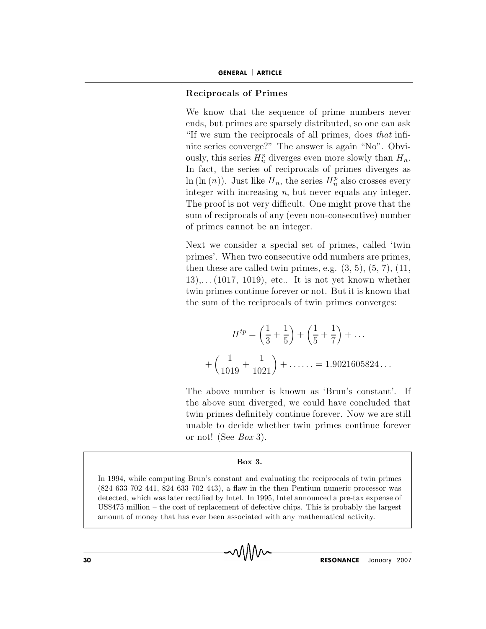# **GENERAL | ARTICLE**<br>
Reciprocals of Primes

GENERAL | ARTICLE<br>Reciprocals of Primes<br>We know that the sequence of prime numbers never GENERAL | ARTICLE<br>Reciprocals of Primes<br>We know that the sequence of prime numbers never<br>ends, but primes are sparsely distributed, so one can ask **GENERAL | ARTICLE**<br> **Reciprocals of Primes**<br>
We know that the sequence of prime numbers never<br>
ends, but primes are sparsely distributed, so one can ask<br>
"If we sum the reciprocals of all primes, does *that* infi-**Reciprocals of Primes**<br>We know that the sequence of prime numbers never<br>ends, but primes are sparsely distributed, so one can ask<br>"If we sum the reciprocals of all primes, does *that* infi-**Reciprocals of Prime**<br>We know that the seq<br>ends, but primes are spa<br>"If we sum the reciproc<br>nite series converge?" T<br>ously, this series  $H_z^p$  dive ously, this series  $H_n^p$  diverges even more slowly than  $H_n$ . **rimes**<br>e sequence of prime numbers never<br>re sparsely distributed, so one can ask<br>iprocals of all primes, does *that* infi-<br> $e$ ?" The answer is again "No". Obvi-<br> $\frac{p}{n}$  diverges even more slowly than  $H_n$ . We know that the sequence of prime numbers never<br>ends, but primes are sparsely distributed, so one can ask<br>"If we sum the reciprocals of all primes, does *that* infi-<br>nite series converge?" The answer is again "No". Obvi-We know that the sequence of prime n<br>ends, but primes are sparsely distributed,<br>"If we sum the reciprocals of all primes,<br>nite series converge?" The answer is again<br>ously, this series  $H_n^p$  diverges even more sl<br>In fact, In fact, the series of reciprocals of primes diverges as<br>  $\ln (\ln (n))$ . Just like  $H_n$ , the series  $H_n^p$  also crosses every<br>
integer with increasing n, but never equals any integer.<br>
The proof is not very difficult. One mig me numbers never<br>ited, so one can ask<br>mes, does *that* infi-<br>again "No". Obvi-<br>primes diverges as<br> $\frac{p}{n}$  also crosses every ends, but primes are sparsely distributed, so one can ask<br>"If we sum the reciprocals of all primes, does *that* infi-<br>nite series converge?" The answer is again "No". Obvi-<br>ously, this series  $H_n^p$  diverges even more slo "If we sum the reciprocals of all primes, does *that* infi-<br>nite series converge?" The answer is again "No". Obvi-<br>ously, this series  $H_n^p$  diverges even more slowly than  $H_n$ .<br>In fact, the series of reciprocals of prime nite series converge?" The answer is again "No". Obvi-<br>ously, this series  $H_n^p$  diverges even more slowly than  $H_n$ .<br>In fact, the series of reciprocals of primes diverges as<br> $\ln(\ln(n))$ . Just like  $H_n$ , the series  $H_n^p$  al In fact, the series of reciprocals of primes diverges as<br>ln (ln  $(n)$ ). Just like  $H_n$ , the series  $H_n^p$  also crosses every<br>integer with increasing n, but never equals any integer.<br>The proof is not very difficult. One mig In  $(\text{m}(n))$ . Just like  $H_n$ , the series  $H_n^*$  also crosses every<br>integer with increasing n, but never equals any integer.<br>The proof is not very difficult. One might prove that the<br>sum of reciprocals of any (even non-con the proof is not very difficult. One might prove that the<br>sum of reciprocals of any (even non-consecutive) number<br>of primes cannot be an integer.<br>Next we consider a special set of primes, called 'twin<br>primes'. When two con

The proof is not very difficult. One might prove that the<br>sum of reciprocals of any (even non-consecutive) number<br>of primes cannot be an integer.<br>Next we consider a special set of primes, called 'twin<br>primes'. When two co sum or reciprocals or any (even non-consecutive) number<br>of primes cannot be an integer.<br>Next we consider a special set of primes, called 'twin<br>primes'. When two consecutive odd numbers are primes,<br>then these are called twi Next we consider a special set of primes, called 'twin<br>primes'. When two consecutive odd numbers are primes,<br>then these are called twin primes, e.g.  $(3, 5)$ ,  $(5, 7)$ ,  $(11, 13)$ ,... $(1017, 1019)$ , etc.. It is not yet kn

two in primes continue forever or not. But it is known that the sum of the reciprocals of twin primes converges:

\n
$$
H^{tp} = \left(\frac{1}{3} + \frac{1}{5}\right) + \left(\frac{1}{5} + \frac{1}{7}\right) + \dots
$$
\n
$$
+ \left(\frac{1}{1019} + \frac{1}{1021}\right) + \dots = 1.9021605824\dots
$$
\nThe above number is known as 'Brun's constant'. If the above sum diverged, we could have concluded that twin primes definitely continue forever. Now we are still

m diverged<br>definitely co<br>ccide whethe<br>*Box* 3.<br>**Box 3.** In 1994, while computing Brun's constant and evaluating the reciprocals of twin primes<br>In 1994, while computing Brun's constant and evaluating the reciprocals of twin primes  $+\left(\frac{1}{1019} + \frac{1}{1021}\right) + \dots = 1.9021605824\dots$ <br>The above number is known as 'Brun's constant'. If<br>the above sum diverged, we could have concluded that<br>twin primes definitely continue forever. Now we are still<br>unable to de  $+\left(\frac{1}{1019} + \frac{1}{1021}\right)$ <br>The above number is 1<br>the above sum diverged<br>twin primes definitely counable to decide wheth<br>or not! (See *Box* 3).

(824 633 702 441, 824 633 702 443), a flaw in the then Pentium numeric processor was detected, which was later rectiØed by Intel. In 1995, Intel announced a pre-tax expense of Box 3.<br>In 1994, while computing Brun's constant and evaluating the reciprocals of twin primes<br>(824 633 702 441, 824 633 702 443), a flaw in the then Pentium numeric processor was<br>detected, which was later rectified by Inte **amount of money in money of money of moneyone Box 3.**<br>
(824 633 702 441, 824 633 702 443), a flaw in the then Pentium numeric processor<br>
detected, which was later rectified by Intel. In 1995, Intel announced a pre-tax exp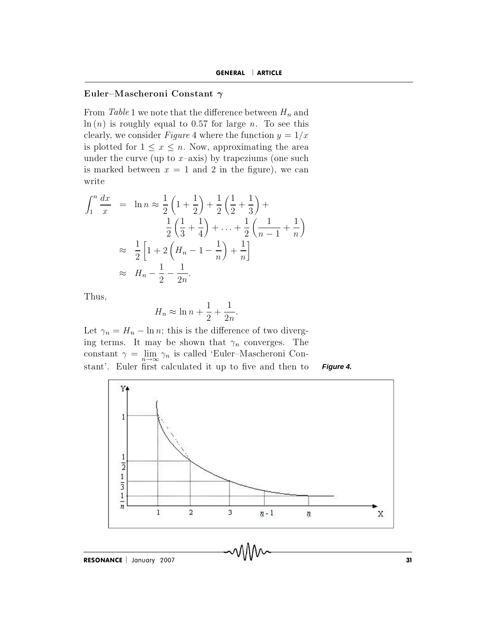## Euler-Mascheroni Constant  $\gamma$

From Table 1 we note that the difference between  $H_n$  and  $\ln(n)$  is roughly equal to 0.57 for large *n*. To see this clearly, we consider *Figure* 4 where the function  $y = 1/x$ is plotted for  $1 \leq x \leq n$ . Now, approximating the area under the curve (up to  $x$ -axis) by trapeziums (one such is marked between  $x = 1$  and 2 in the figure), we can write

$$
\int_{1}^{n} \frac{dx}{x} = \ln n \approx \frac{1}{2} \left( 1 + \frac{1}{2} \right) + \frac{1}{2} \left( \frac{1}{2} + \frac{1}{3} \right) +
$$
  

$$
\frac{1}{2} \left( \frac{1}{3} + \frac{1}{4} \right) + \dots + \frac{1}{2} \left( \frac{1}{n-1} + \frac{1}{n} \right)
$$
  

$$
\approx \frac{1}{2} \left[ 1 + 2 \left( H_n - 1 - \frac{1}{n} \right) + \frac{1}{n} \right]
$$
  

$$
\approx H_n - \frac{1}{2} - \frac{1}{2n}.
$$

Thus,

$$
H_n \approx \ln n + \frac{1}{2} + \frac{1}{2n}
$$

Let  $\gamma_n = H_n - \ln n$ ; this is the difference of two diverging terms. It may be shown that  $\gamma_n$  converges. The constant $\gamma = \lim_{n \to \infty} \gamma_n$ is called 'Euler–Mascheroni Constant'. Euler first calculated it up to five and then to Figure 4.



RESONANCE | January 2007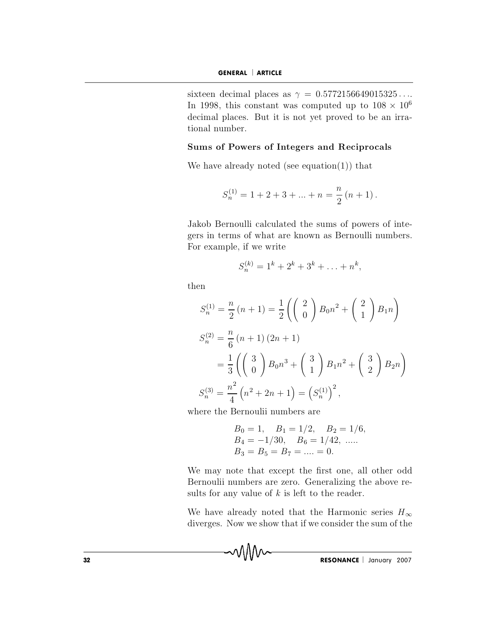sixteen decimal places as  $\gamma = 0.5772156649015325...$ In 1998, this constant was computed up to  $108 \times 10^6$ decimal places. But it is not yet proved to be an irrational number.

## Sums of Powers of Integers and Reciprocals

We have already noted (see equation(1)) that

$$
S_n^{(1)} = 1 + 2 + 3 + \dots + n = \frac{n}{2} (n + 1).
$$

Jakob Bernoulli calculated the sums of powers of integers in terms of what are known as Bernoulli numbers. For example, if we write

$$
S_n^{(k)} = 1^k + 2^k + 3^k + \ldots + n^k,
$$

then

$$
S_n^{(1)} = \frac{n}{2} (n+1) = \frac{1}{2} \left( \begin{pmatrix} 2 \\ 0 \end{pmatrix} B_0 n^2 + \begin{pmatrix} 2 \\ 1 \end{pmatrix} B_1 n \right)
$$
  
\n
$$
S_n^{(2)} = \frac{n}{6} (n+1) (2n+1)
$$
  
\n
$$
= \frac{1}{3} \left( \begin{pmatrix} 3 \\ 0 \end{pmatrix} B_0 n^3 + \begin{pmatrix} 3 \\ 1 \end{pmatrix} B_1 n^2 + \begin{pmatrix} 3 \\ 2 \end{pmatrix} B_2 n \right)
$$
  
\n
$$
S_n^{(3)} = \frac{n^2}{4} (n^2 + 2n + 1) = (S_n^{(1)})^2,
$$

where the Bernoulii numbers are

wMw

$$
B_0 = 1
$$
,  $B_1 = 1/2$ ,  $B_2 = 1/6$ ,  
\n $B_4 = -1/30$ ,  $B_6 = 1/42$ , ......  
\n $B_3 = B_5 = B_7 = .... = 0$ .

We may note that except the first one, all other odd Bernoulii numbers are zero. Generalizing the above results for any value of  $k$  is left to the reader.

We have already noted that the Harmonic series  $H_{\infty}$ diverges. Now we show that if we consider the sum of the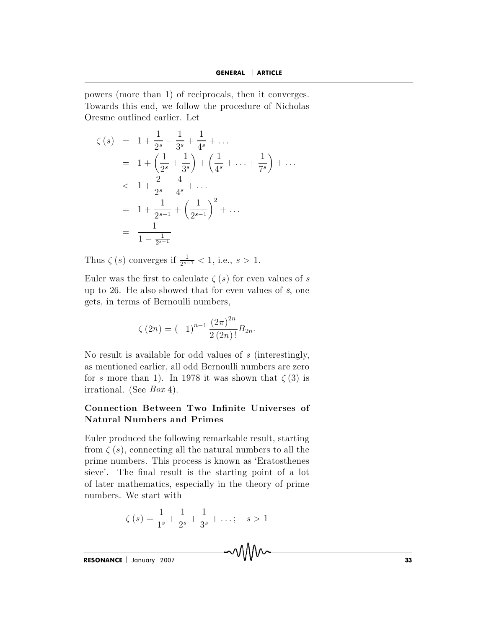powers (more than 1) of reciprocals, then it converges. Towards this end, we follow the procedure of Nicholas Oresme outlined earlier. Let

$$
\zeta(s) = 1 + \frac{1}{2^s} + \frac{1}{3^s} + \frac{1}{4^s} + \dots
$$
  
\n
$$
= 1 + \left(\frac{1}{2^s} + \frac{1}{3^s}\right) + \left(\frac{1}{4^s} + \dots + \frac{1}{7^s}\right) + \dots
$$
  
\n
$$
< 1 + \frac{2}{2^s} + \frac{4}{4^s} + \dots
$$
  
\n
$$
= 1 + \frac{1}{2^{s-1}} + \left(\frac{1}{2^{s-1}}\right)^2 + \dots
$$
  
\n
$$
= \frac{1}{1 - \frac{1}{2^{s-1}}}
$$

Thus  $\zeta(s)$  converges if  $\frac{1}{2s-1} < 1$ , i.e.,  $s > 1$ .

Euler was the first to calculate  $\zeta(s)$  for even values of s up to 26. He also showed that for even values of  $s$ , one gets, in terms of Bernoulli numbers,

$$
\zeta(2n) = (-1)^{n-1} \frac{(2\pi)^{2n}}{2(2n)!} B_{2n}.
$$

No result is available for odd values of  $s$  (interestingly, as mentioned earlier, all odd Bernoulli numbers are zero for s more than 1). In 1978 it was shown that  $\zeta(3)$  is irrational. (See  $Box 4$ ).

# Connection Between Two Infinite Universes of **Natural Numbers and Primes**

Euler produced the following remarkable result, starting from  $\zeta(s)$ , connecting all the natural numbers to all the prime numbers. This process is known as 'Eratosthenes sieve'. The final result is the starting point of a lot of later mathematics, especially in the theory of prime numbers. We start with

$$
\zeta(s) = \frac{1}{1^s} + \frac{1}{2^s} + \frac{1}{3^s} + \dots; \quad s > 1
$$

~WM~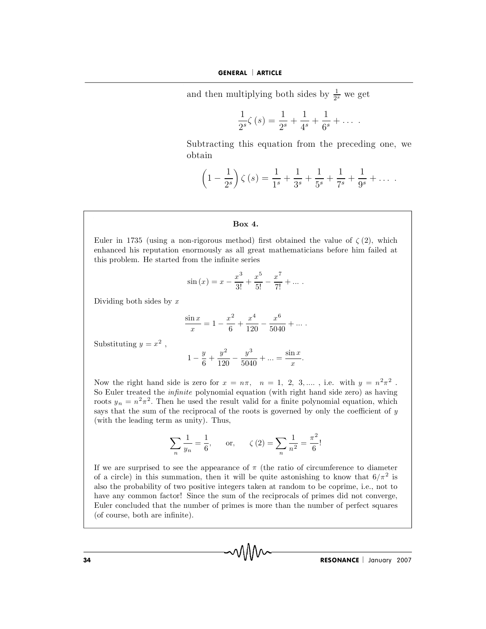**GENERAL** | **ARTICLE**<br>and then multiplying both sides by  $\frac{1}{2^s}$  we  $\frac{1}{s}$  we get

**GENERAL** | **ARTICE**  
and then multiplying both sides by 
$$
\frac{1}{2^s}
$$
 we get  

$$
\frac{1}{2^s}\zeta(s) = \frac{1}{2^s} + \frac{1}{4^s} + \frac{1}{6^s} + \dots
$$
  
Subtracting this equation from the preceding one, we

and then mu  $\frac{1}{2^s} \zeta(s) = \frac{1}{2^s} + \frac{1}{4^s} + \frac{1}{6^s} + \dots$ <br>
this equation from the preceding one,<br>  $\zeta(s) = \frac{1}{1^s} + \frac{1}{2^s} + \frac{1}{5^s} + \frac{1}{7^s} + \frac{1}{9^s} + \dots$ 

$$
\left(1 - \frac{1}{2^s}\right)\zeta(s) = \frac{1}{1^s} + \frac{1}{3^s} + \frac{1}{5^s} + \frac{1}{7^s} + \frac{1}{9^s} + \dots
$$
  
Box 4.  
Euler in 1735 (using a non-rieorous method) first obtained the value of  $\zeta(2)$ , which

**Example 19 Server 19 Server 19 Server 19 Server 19 Server 19 Server 19 Server 19 Server 19 Server 19 Server 19 Server 19 Server 19 Server 19 Server 19 Server 19 Server 19 Server 19 Server 19 Server 19 Server 19 Server 19 Box 4.**<br>Euler in 1735 (using a non-rigorous method) first of enhanced his reputation enormously as all great mathis problem. He started from the infinite series **Box 4.**<br>n-rigorous method)<br>normously as all gre<br>om the infinite series<br> $\sin (x) = x - \frac{x^3}{x} + \frac{x}{x}$ **Box 4.**<br>Euler in 1735 (using a non-rigorous method) first obtained the va<br>enhanced his reputation enormously as all great mathematicians b<br>this problem. He started from the infinite series<br> $\sin(x) = x - \frac{x^3}{3!} + \frac{x^5}{5!} - \frac{x$ 

om the infinite series  
\n
$$
\sin (x) = x - \frac{x^3}{3!} + \frac{x^5}{5!} - \frac{x^7}{7!} + \dots
$$
\n
$$
\frac{\sin x}{x} = 1 - \frac{x^2}{6} + \frac{x^4}{120} - \frac{x^6}{5040} + \dots
$$

$$
\frac{\sin x}{x} = 1 - \frac{x^2}{6} + \frac{x^4}{120} - \frac{x^6}{5040} + \dots
$$

Substituting  $y = x^2$ ,

$$
\frac{\sin x}{x} = 1 - \frac{x}{6} + \frac{x}{120} - \frac{x}{5040} + \dots
$$
  
Substituting  $y = x^2$ ,  

$$
1 - \frac{y}{6} + \frac{y^2}{120} - \frac{y^3}{5040} + \dots = \frac{\sin x}{x}.
$$
  
Now the right hand side is zero for  $x = n\pi$ ,  $n = 1, 2, 3, \dots$ , i.e. with  $y = n^2\pi^2$ .

Substituting  $y = x^2$ ,<br>  $1 - \frac{y}{6} + \frac{y^2}{120} - \frac{y^3}{5040} + \dots = \frac{\sin x}{x}$ .<br>
Now the right hand side is zero for  $x = n\pi$ ,  $n = 1, 2, 3, \dots$ , i.e. with  $y = n^2\pi^2$ .<br>
So Euler treated the *infinite* polynomial equation (with rig roots  $y_n = n^2 \pi^2$ . Then  $z = x^2$ ,<br>  $1 - \frac{y}{6} + \frac{y^2}{120} - \frac{y^3}{5040} + \dots = \frac{\sin x}{x}$ .<br>
hand side is zero for  $x = n\pi$ ,  $n = 1, 2, 3, \dots$ , i.e. with  $y = n^2\pi^2$ .<br>
d the *infinite* polynomial equation (with right hand side zero) as having<br>
<sup>2</sup>. Then he  $1 - \frac{y}{6} + \frac{y^2}{120} - \frac{y^3}{5040} + \dots = \frac{\sin x}{x}$ .<br>
Now the right hand side is zero for  $x = n\pi$ ,  $n = 1, 2, 3, \dots$ , i.e. with  $y = n^2\pi^2$ .<br>
So Euler treated the *infinite* polynomial equation (with right hand side zero) as h (1 -  $\frac{1}{6} + \frac{1}{120}$  -  $\frac{1}{6}$ )<br>
(Now the right hand side is zero for  $x = r$ <br>
(So Euler treated the *infinite* polynomial exports  $y_n = n^2 \pi^2$ . Then he used the result<br>
says that the sum of the reciprocal of the (wit for  $x = n\pi$ ,  $n = 1, 2, 3, ...$ , i.<br>
momial equation (with right hand<br>
he result valid for a finite polynon<br>
cal of the roots is governed by only<br>
Thus,<br>
. or.  $\zeta(2) = \sum \frac{1}{2} = \frac{\pi^2}{2!}$ says that the sum of the reciprocal of the roots is governed by only the coefficient of  $y$  (with the leading term as unity). Thus,

$$
\sum_{n} \frac{1}{y_n} = \frac{1}{6}, \quad \text{or,} \quad \zeta(2) = \sum_{n} \frac{1}{n^2} = \frac{\pi^2}{6}.
$$

(with the leading term as unity). Thus,<br>  $\sum_{n} \frac{1}{y_n} = \frac{1}{6}$ , or,  $\zeta(2) = \sum_{n} \frac{1}{n^2} = \frac{\pi^2}{6}$ !<br>
If we are surprised to see the appearance of  $\pi$  (the ratio of circumference to diameter<br>
of a circle) in this sum of a circle) in this summation, then it will be quite astonishing to know that  $6/\pi^2$  is  $\sum_{n} \frac{1}{y_n} = \frac{1}{6}$ , or,  $\zeta(2) = \sum_{n} \frac{1}{n^2} = \frac{\pi^2}{6}$ !<br>If we are surprised to see the appearance of  $\pi$  (the ratio of circumference to diameter of a circle) in this summation, then it will be quite astonishing t  $\sum_{n} \frac{1}{y_n} = \frac{1}{6}$ , or,  $\zeta(2) = \sum_{n} \frac{1}{n^2} = \frac{\pi^2}{6}$ !<br>If we are surprised to see the appearance of  $\pi$  (the ratio of circumference to diameter<br>of a circle) in this summation, then it will be quite astonishing t  $\sum_{n} \frac{1}{y_n} = \frac{1}{6}$ , or,  $\zeta(2) = \sum_{n} \frac{1}{n^2} = \frac{1}{6}$ .<br>
If we are surprised to see the appearance of  $\pi$  (the ratio of circumference to diameter of a circle) in this summation, then it will be quite astonishing to If we are surprised to see the a<br>of a circle) in this summation,<br>also the probability of two posit<br>have any common factor! Since<br>Euler concluded that the numb<br>(of course, both are infinite).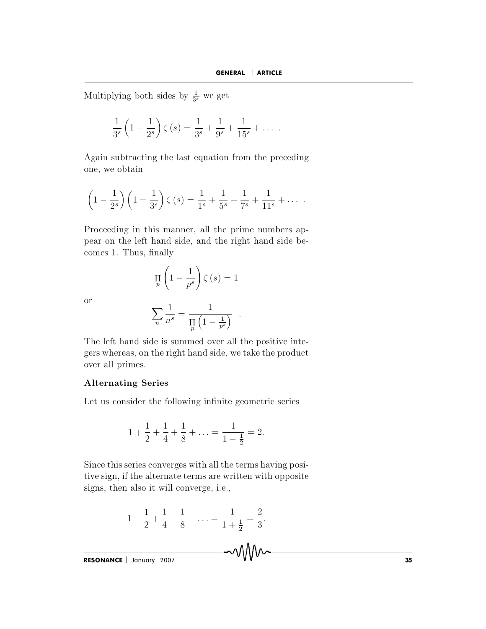$\ddot{\phantom{0}}$ 

Multiplying both sides by  $\frac{1}{3^s}$  we get

$$
\frac{1}{3^{s}}\left(1-\frac{1}{2^{s}}\right)\zeta(s) = \frac{1}{3^{s}} + \frac{1}{9^{s}} + \frac{1}{15^{s}} + \dots
$$

Again subtracting the last equation from the preceding one, we obtain

$$
\left(1-\frac{1}{2^{s}}\right)\left(1-\frac{1}{3^{s}}\right)\zeta\left(s\right)=\frac{1}{1^{s}}+\frac{1}{5^{s}}+\frac{1}{7^{s}}+\frac{1}{11^{s}}+\ldots
$$

Proceeding in this manner, all the prime numbers appear on the left hand side, and the right hand side becomes 1. Thus, finally

$$
\prod_{p} \left( 1 - \frac{1}{p^{s}} \right) \zeta(s) = 1
$$

**or** 

$$
\sum_n \frac{1}{n^s} = \frac{1}{\prod\limits_p \left(1 - \frac{1}{p^s}\right)}
$$

The left hand side is summed over all the positive integers whereas, on the right hand side, we take the product over all primes.

## **Alternating Series**

Let us consider the following infinite geometric series

$$
1 + \frac{1}{2} + \frac{1}{4} + \frac{1}{8} + \ldots = \frac{1}{1 - \frac{1}{2}} = 2.
$$

Since this series converges with all the terms having positive sign, if the alternate terms are written with opposite signs, then also it will converge, i.e.,

$$
1 - \frac{1}{2} + \frac{1}{4} - \frac{1}{8} - \ldots = \frac{1}{1 + \frac{1}{2}} = \frac{2}{3}.
$$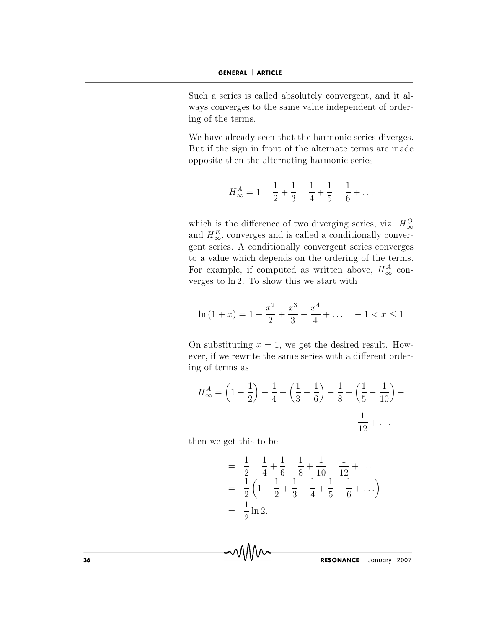Such a series is called absolutely convergent, and it always converges to the same value independent of ordering of the terms.

We have already seen that the harmonic series diverges. But if the sign in front of the alternate terms are made opposite then the alternating harmonic series

$$
H_{\infty}^{A} = 1 - \frac{1}{2} + \frac{1}{3} - \frac{1}{4} + \frac{1}{5} - \frac{1}{6} + \dots
$$

which is the difference of two diverging series, viz.  $H_{\infty}^{O}$ and  $H^E_{\infty}$  converges and is called a conditionally convergent series. A conditionally convergent series converges to a value which depends on the ordering of the terms. For example, if computed as written above,  $H_{\infty}^{A}$  converges to  $\ln 2$ . To show this we start with

$$
\ln(1+x) = 1 - \frac{x^2}{2} + \frac{x^3}{3} - \frac{x^4}{4} + \dotsb - 1 < x \le 1
$$

On substituting  $x = 1$ , we get the desired result. However, if we rewrite the same series with a different ordering of terms as

$$
H_{\infty}^{A} = \left(1 - \frac{1}{2}\right) - \frac{1}{4} + \left(\frac{1}{3} - \frac{1}{6}\right) - \frac{1}{8} + \left(\frac{1}{5} - \frac{1}{10}\right) - \frac{1}{12} + \dots
$$

then we get this to be

MM

$$
= \frac{1}{2} - \frac{1}{4} + \frac{1}{6} - \frac{1}{8} + \frac{1}{10} - \frac{1}{12} + \dots
$$
  
= 
$$
\frac{1}{2} \left( 1 - \frac{1}{2} + \frac{1}{3} - \frac{1}{4} + \frac{1}{5} - \frac{1}{6} + \dots \right)
$$
  
= 
$$
\frac{1}{2} \ln 2.
$$